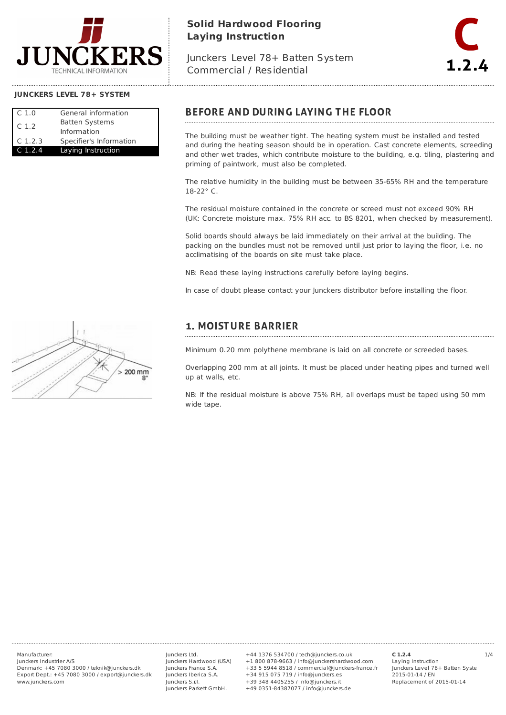

# **Solid Hardwood Flooring Laying Instruction**

Junckers Level 78+ Batten System Commercial / Residential



## **JUNCKERS LEVEL 78+ SYSTEM**

| C <sub>1.0</sub> | General information     |
|------------------|-------------------------|
| C.1.2            | <b>Batten Systems</b>   |
|                  | Information             |
| $C$ 1.2.3        | Specifier's Information |
| C 1.2.4          | Laying Instruction      |

## **BEFORE AND DURING LAYING THE FLOOR**

The building must be weather tight. The heating system must be installed and tested and during the heating season should be in operation. Cast concrete elements, screeding and other wet trades, which contribute moisture to the building, e.g. tiling, plastering and priming of paintwork, must also be completed.

The relative humidity in the building must be between 35-65% RH and the temperature 18-22° C.

The residual moisture contained in the concrete or screed must not exceed 90% RH (UK: Concrete moisture max. 75% RH acc. to BS 8201, when checked by measurement).

Solid boards should always be laid immediately on their arrival at the building. The packing on the bundles must not be removed until just prior to laying the floor, i.e. no acclimatising of the boards on site must take place.

NB: Read these laying instructions carefully before laying begins.

In case of doubt please contact your Junckers distributor before installing the floor.

# 200 mm

## **1. MOISTURE BARRIER**

Minimum 0.20 mm polythene membrane is laid on all concrete or screeded bases.

Overlapping 200 mm at all joints. It must be placed under heating pipes and turned well up at walls, etc.

NB: If the residual moisture is above 75% RH, all overlaps must be taped using 50 mm wide tape.

Junckers Industrier A/S Denmark: +45 7080 3000 / teknik@junckers.dk Export Dept.: +45 7080 3000 / export@junckers.dk www.junckers.com

Junckers Ltd. Junckers Hardwood (USA) Junckers France S.A. Junckers Iberica S.A. Junckers S.r.I. Junckers Parkett GmbH.

Manufacturer: 1/4 +44 1376 534700 / tech@junckers.co.uk +1 800 878-9663 / info@junckershardwood.com +33 5 5944 8518 / commercial@junckers-france.fr +34 915 075 719 / info@junckers.es +39 348 4405255 / info@junckers.it +49 0351-84387077 / info@junckers.de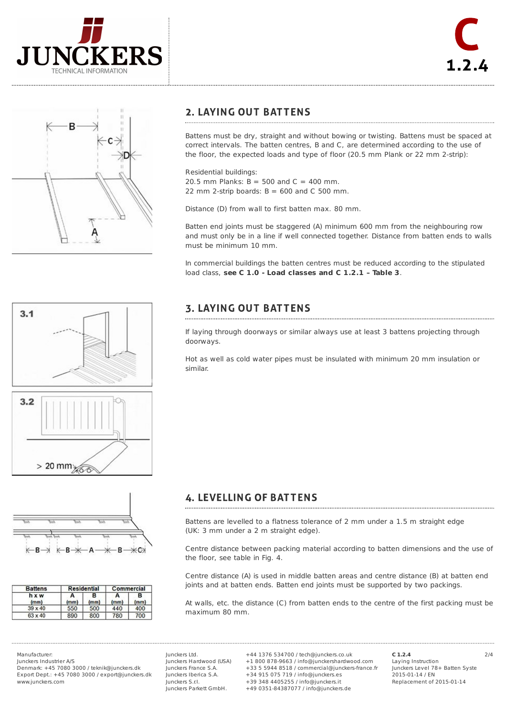





## **2. LAYING OUT BATTENS**

Battens must be dry, straight and without bowing or twisting. Battens must be spaced at correct intervals. The batten centres, B and C, are determined according to the use of the floor, the expected loads and type of floor (20.5 mm Plank or 22 mm 2-strip):

Residential buildings:

20.5 mm Planks:  $B = 500$  and  $C = 400$  mm. 22 mm 2-strip boards:  $B = 600$  and C 500 mm.

Distance (D) from wall to first batten max. 80 mm.

Batten end joints must be staggered (A) minimum 600 mm from the neighbouring row and must only be in a line if well connected together. Distance from batten ends to walls must be minimum 10 mm.

In commercial buildings the batten centres must be reduced according to the stipulated load class, **see C 1.0 - Load classes and C 1.2.1 – Table 3**.

### **3. LAYING OUT BATTENS**

If laying through doorways or similar always use at least 3 battens projecting through doorways.

Hot as well as cold water pipes must be insulated with minimum 20 mm insulation or similar.



 $3.1$ 



| <b>Battens</b> | <b>Residential</b> |           | Commercial |           |
|----------------|--------------------|-----------|------------|-----------|
| hxw<br>(mm)    | (mm)               | в<br>(mm) | А<br>(mm)  | в<br>(mm) |
| $39 \times 40$ | 550                | 500       | 440        | 400       |
| $63 \times 40$ | 890                | 800       | 780        | 700       |

**4. LEVELLING OF BATTENS** 

Battens are levelled to a flatness tolerance of 2 mm under a 1.5 m straight edge (UK: 3 mm under a 2 m straight edge).

Centre distance between packing material according to batten dimensions and the use of the floor, see table in Fig. 4.

Centre distance (A) is used in middle batten areas and centre distance (B) at batten end joints and at batten ends. Batten end joints must be supported by two packings.

At walls, etc. the distance (C) from batten ends to the centre of the first packing must be maximum 80 mm.

Junckers Industrier A/S Denmark: +45 7080 3000 / teknik@junckers.dk Export Dept.: +45 7080 3000 / export@junckers.dk www.junckers.com

Junckers Ltd. Junckers Hardwood (USA) Junckers France S.A. Junckers Iberica S.A. Junckers S.r.I. Junckers Parkett GmbH.

Manufacturer: 2/4 +44 1376 534700 / tech@junckers.co.uk +1 800 878-9663 / info@junckershardwood.com +33 5 5944 8518 / commercial@junckers-france.fr +34 915 075 719 / info@junckers.es +39 348 4405255 / info@junckers.it +49 0351-84387077 / info@junckers.de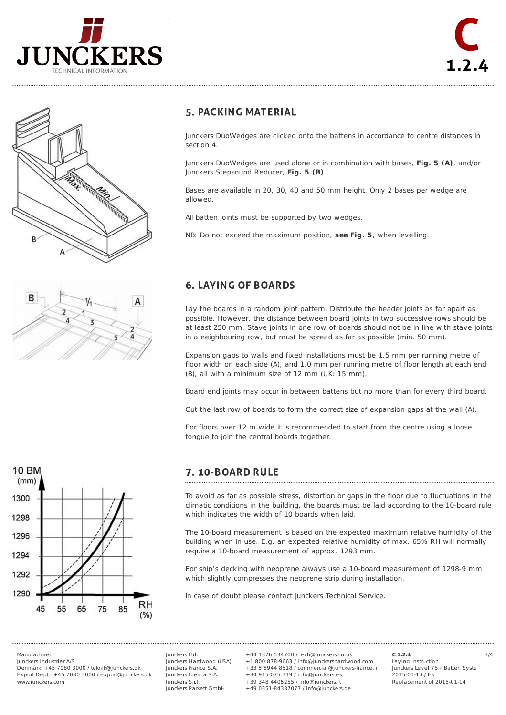



## **5. PACKING MATERIAL**

Junckers DuoWedges are clicked onto the battens in accordance to centre distances in section 4.

Junckers DuoWedges are used alone or in combination with bases, **Fig. 5 (A)**, and/or Junckers Stepsound Reducer, **Fig. 5 (B)**.

Bases are available in 20, 30, 40 and 50 mm height. Only 2 bases per wedge are allowed.

All batten joints must be supported by two wedges.

NB: Do not exceed the maximum position, **see Fig. 5**, when levelling.



# **6. LAYING OF BOARDS**

Lay the boards in a random joint pattern. Distribute the header joints as far apart as possible. However, the distance between board joints in two successive rows should be at least 250 mm. Stave joints in one row of boards should not be in line with stave joints in a neighbouring row, but must be spread as far as possible (min. 50 mm).

Expansion gaps to walls and fixed installations must be 1.5 mm per running metre of floor width on each side (A), and 1.0 mm per running metre of floor length at each end (B), all with a minimum size of 12 mm (UK: 15 mm).

Board end joints may occur in between battens but no more than for every third board.

Cut the last row of boards to form the correct size of expansion gaps at the wall (A).

For floors over 12 m wide it is recommended to start from the centre using a loose tongue to join the central boards together.



## 7. 10-BOARD RULE

To avoid as far as possible stress, distortion or gaps in the floor due to fluctuations in the climatic conditions in the building, the boards must be laid according to the 10-board rule which indicates the width of 10 boards when laid.

The 10-board measurement is based on the expected maximum relative humidity of the building when in use. E.g. an expected relative humidity of max. 65% RH will normally require a 10-board measurement of approx. 1293 mm.

For ship's decking with neoprene always use a 10-board measurement of 1298-9 mm which slightly compresses the neoprene strip during installation.

In case of doubt please contact Junckers Technical Service.

Junckers Industrier A/S

Denmark: +45 7080 3000 / teknik@junckers.dk Export Dept.: +45 7080 3000 / export@junckers.dk www.junckers.com

Junckers Ltd. Junckers Hardwood (USA) Junckers France S.A. Junckers Iberica S.A. Junckers S.r.I. Junckers Parkett GmbH.

Manufacturer: 3/4 +44 1376 534700 / tech@junckers.co.uk +1 800 878-9663 / info@junckershardwood.com +33 5 5944 8518 / commercial@junckers-france.fr +34 915 075 719 / info@junckers.es +39 348 4405255 / info@junckers.it +49 0351-84387077 / info@junckers.de